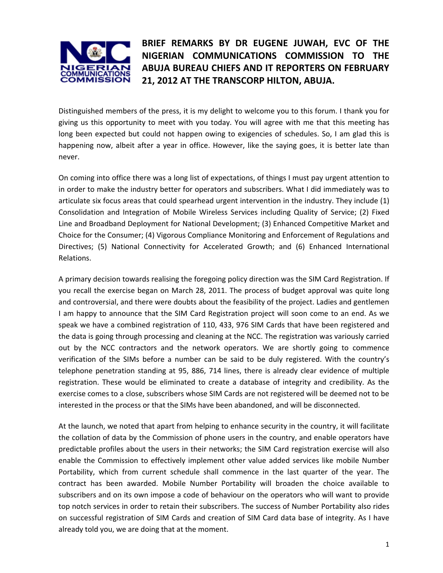

## **BRIEF REMARKS BY DR EUGENE JUWAH, EVC OF THE NIGERIAN COMMUNICATIONS COMMISSION TO THE ABUJA BUREAU CHIEFS AND IT REPORTERS ON FEBRUARY 21, 2012 AT THE TRANSCORP HILTON, ABUJA.**

Distinguished members of the press, it is my delight to welcome you to this forum. I thank you for giving us this opportunity to meet with you today. You will agree with me that this meeting has long been expected but could not happen owing to exigencies of schedules. So, I am glad this is happening now, albeit after a year in office. However, like the saying goes, it is better late than never.

On coming into office there was a long list of expectations, of things I must pay urgent attention to in order to make the industry better for operators and subscribers. What I did immediately was to articulate six focus areas that could spearhead urgent intervention in the industry. They include (1) Consolidation and Integration of Mobile Wireless Services including Quality of Service; (2) Fixed Line and Broadband Deployment for National Development; (3) Enhanced Competitive Market and Choice for the Consumer; (4) Vigorous Compliance Monitoring and Enforcement of Regulations and Directives; (5) National Connectivity for Accelerated Growth; and (6) Enhanced International Relations.

A primary decision towards realising the foregoing policy direction was the SIM Card Registration. If you recall the exercise began on March 28, 2011. The process of budget approval was quite long and controversial, and there were doubts about the feasibility of the project. Ladies and gentlemen I am happy to announce that the SIM Card Registration project will soon come to an end. As we speak we have a combined registration of 110, 433, 976 SIM Cards that have been registered and the data is going through processing and cleaning at the NCC. The registration was variously carried out by the NCC contractors and the network operators. We are shortly going to commence verification of the SIMs before a number can be said to be duly registered. With the country's telephone penetration standing at 95, 886, 714 lines, there is already clear evidence of multiple registration. These would be eliminated to create a database of integrity and credibility. As the exercise comes to a close, subscribers whose SIM Cards are not registered will be deemed not to be interested in the process or that the SIMs have been abandoned, and will be disconnected.

At the launch, we noted that apart from helping to enhance security in the country, it will facilitate the collation of data by the Commission of phone users in the country, and enable operators have predictable profiles about the users in their networks; the SIM Card registration exercise will also enable the Commission to effectively implement other value added services like mobile Number Portability, which from current schedule shall commence in the last quarter of the year. The contract has been awarded. Mobile Number Portability will broaden the choice available to subscribers and on its own impose a code of behaviour on the operators who will want to provide top notch services in order to retain their subscribers. The success of Number Portability also rides on successful registration of SIM Cards and creation of SIM Card data base of integrity. As I have already told you, we are doing that at the moment.